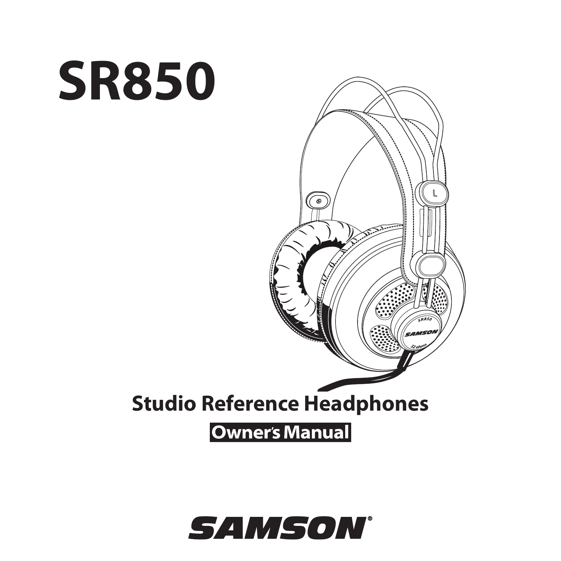# **SR850**



#### **Owner's Manual**

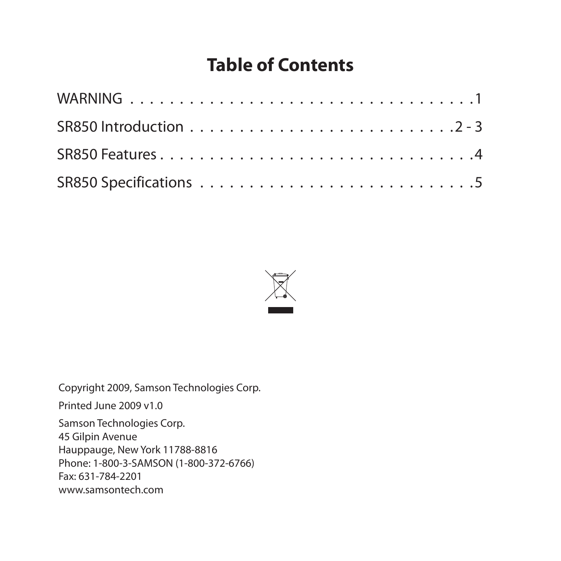#### **Table of Contents**



Copyright 2009, Samson Technologies Corp. Printed June 2009 v1.0 Samson Technologies Corp. 45 Gilpin Avenue Hauppauge, New York 11788-8816 Phone: 1-800-3-SAMSON (1-800-372-6766) Fax: 631-784-2201 www.samsontech.com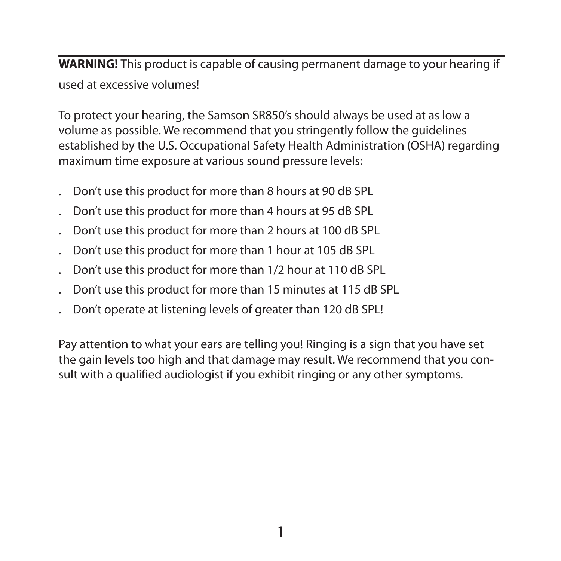**WARNING!** This product is capable of causing permanent damage to your hearing if used at excessive volumes!

To protect your hearing, the Samson SR850's should always be used at as low a volume as possible. We recommend that you stringently follow the guidelines established by the U.S. Occupational Safety Health Administration (OSHA) regarding maximum time exposure at various sound pressure levels:

- . Don't use this product for more than 8 hours at 90 dB SPL
- . Don't use this product for more than 4 hours at 95 dB SPL
- . Don't use this product for more than 2 hours at 100 dB SPL
- . Don't use this product for more than 1 hour at 105 dB SPL
- . Don't use this product for more than 1/2 hour at 110 dB SPL
- . Don't use this product for more than 15 minutes at 115 dB SPL
- . Don't operate at listening levels of greater than 120 dB SPL!

Pay attention to what your ears are telling you! Ringing is a sign that you have set the gain levels too high and that damage may result. We recommend that you consult with a qualified audiologist if you exhibit ringing or any other symptoms.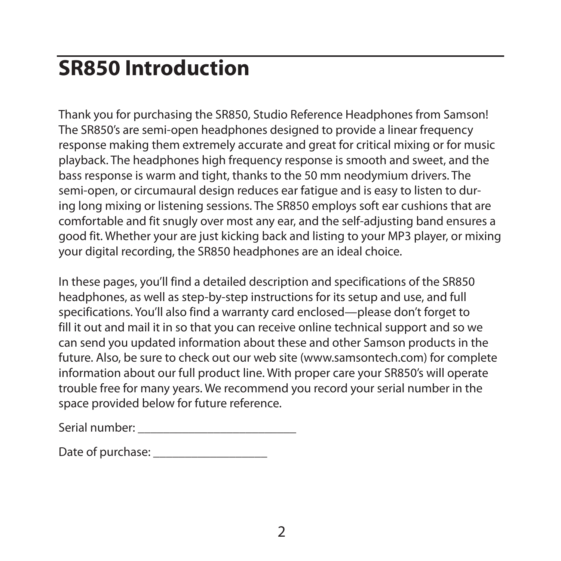# **SR850 Introduction**

Thank you for purchasing the SR850, Studio Reference Headphones from Samson! The SR850's are semi-open headphones designed to provide a linear frequency response making them extremely accurate and great for critical mixing or for music playback. The headphones high frequency response is smooth and sweet, and the bass response is warm and tight, thanks to the 50 mm neodymium drivers. The semi-open, or circumaural design reduces ear fatigue and is easy to listen to during long mixing or listening sessions. The SR850 employs soft ear cushions that are comfortable and fit snugly over most any ear, and the self-adjusting band ensures a good fit. Whether your are just kicking back and listing to your MP3 player, or mixing your digital recording, the SR850 headphones are an ideal choice.

In these pages, you'll find a detailed description and specifications of the SR850 headphones, as well as step-by-step instructions for its setup and use, and full specifications. You'll also find a warranty card enclosed—please don't forget to fill it out and mail it in so that you can receive online technical support and so we can send you updated information about these and other Samson products in the future. Also, be sure to check out our web site (www.samsontech.com) for complete information about our full product line. With proper care your SR850's will operate trouble free for many years. We recommend you record your serial number in the space provided below for future reference.

| Date of purchase: |  |
|-------------------|--|
|                   |  |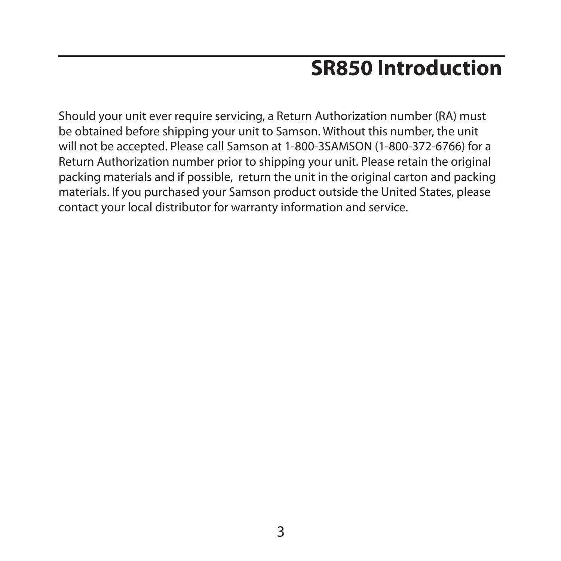# **SR850 Introduction**

Should your unit ever require servicing, a Return Authorization number (RA) must be obtained before shipping your unit to Samson. Without this number, the unit will not be accepted. Please call Samson at 1-800-3SAMSON (1-800-372-6766) for a Return Authorization number prior to shipping your unit. Please retain the original packing materials and if possible, return the unit in the original carton and packing materials. If you purchased your Samson product outside the United States, please contact your local distributor for warranty information and service.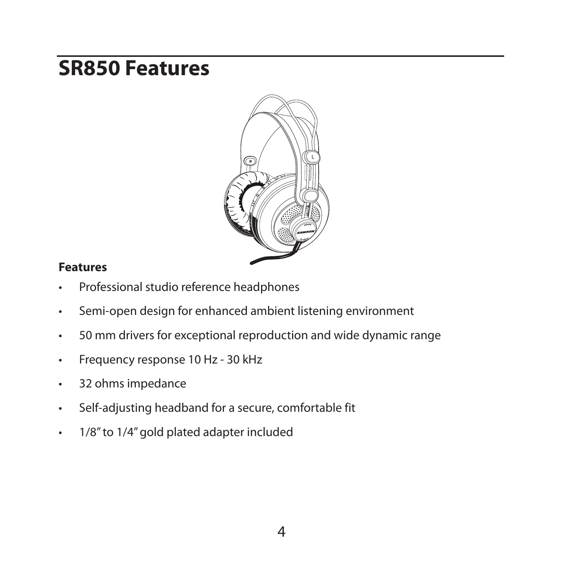### **SR850 Features**



#### **Features**

- Professional studio reference headphones
- Semi-open design for enhanced ambient listening environment
- 50 mm drivers for exceptional reproduction and wide dynamic range
- Frequency response 10 Hz 30 kHz
- 32 ohms impedance
- Self-adjusting headband for a secure, comfortable fit
- 1/8" to 1/4" gold plated adapter included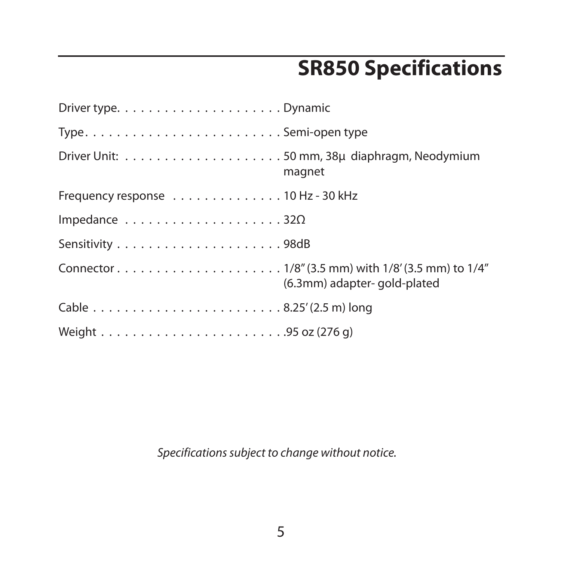# **SR850 Specifications**

|                                                           | magnet                      |
|-----------------------------------------------------------|-----------------------------|
| Frequency response 10 Hz - 30 kHz                         |                             |
| Impedance $\ldots \ldots \ldots \ldots \ldots \ldots 320$ |                             |
|                                                           |                             |
|                                                           | (6.3mm) adapter-gold-plated |
|                                                           |                             |
|                                                           |                             |

*Specifications subject to change without notice.*